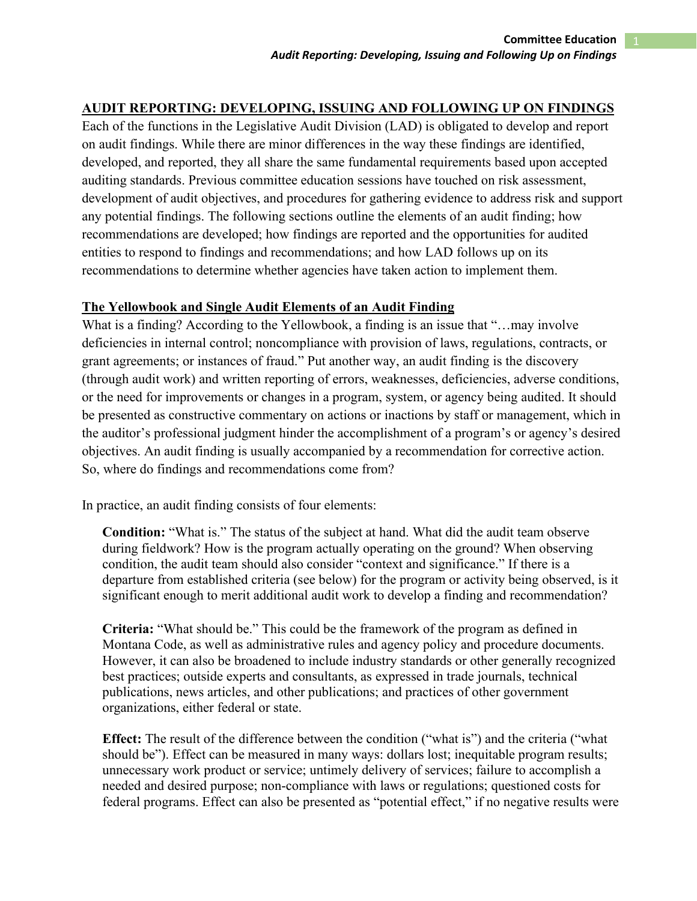# **AUDIT REPORTING: DEVELOPING, ISSUING AND FOLLOWING UP ON FINDINGS**

Each of the functions in the Legislative Audit Division (LAD) is obligated to develop and report on audit findings. While there are minor differences in the way these findings are identified, developed, and reported, they all share the same fundamental requirements based upon accepted auditing standards. Previous committee education sessions have touched on risk assessment, development of audit objectives, and procedures for gathering evidence to address risk and support any potential findings. The following sections outline the elements of an audit finding; how recommendations are developed; how findings are reported and the opportunities for audited entities to respond to findings and recommendations; and how LAD follows up on its recommendations to determine whether agencies have taken action to implement them.

### **The Yellowbook and Single Audit Elements of an Audit Finding**

What is a finding? According to the Yellowbook, a finding is an issue that "...may involve deficiencies in internal control; noncompliance with provision of laws, regulations, contracts, or grant agreements; or instances of fraud." Put another way, an audit finding is the discovery (through audit work) and written reporting of errors, weaknesses, deficiencies, adverse conditions, or the need for improvements or changes in a program, system, or agency being audited. It should be presented as constructive commentary on actions or inactions by staff or management, which in the auditor's professional judgment hinder the accomplishment of a program's or agency's desired objectives. An audit finding is usually accompanied by a recommendation for corrective action. So, where do findings and recommendations come from?

In practice, an audit finding consists of four elements:

**Condition:** "What is." The status of the subject at hand. What did the audit team observe during fieldwork? How is the program actually operating on the ground? When observing condition, the audit team should also consider "context and significance." If there is a departure from established criteria (see below) for the program or activity being observed, is it significant enough to merit additional audit work to develop a finding and recommendation?

**Criteria:** "What should be." This could be the framework of the program as defined in Montana Code, as well as administrative rules and agency policy and procedure documents. However, it can also be broadened to include industry standards or other generally recognized best practices; outside experts and consultants, as expressed in trade journals, technical publications, news articles, and other publications; and practices of other government organizations, either federal or state.

**Effect:** The result of the difference between the condition ("what is") and the criteria ("what should be"). Effect can be measured in many ways: dollars lost; inequitable program results; unnecessary work product or service; untimely delivery of services; failure to accomplish a needed and desired purpose; non-compliance with laws or regulations; questioned costs for federal programs. Effect can also be presented as "potential effect," if no negative results were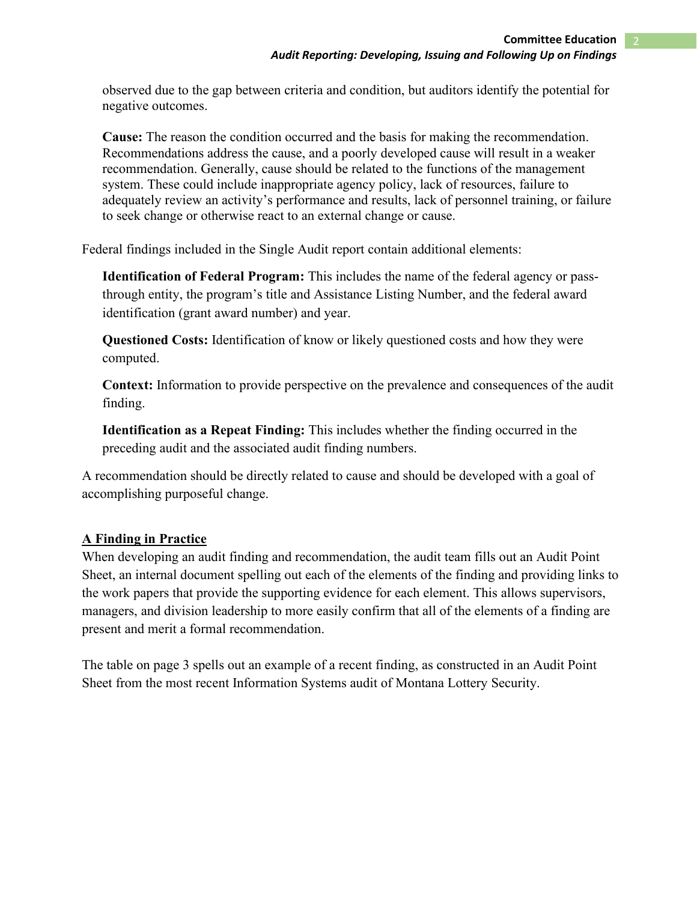observed due to the gap between criteria and condition, but auditors identify the potential for negative outcomes.

**Cause:** The reason the condition occurred and the basis for making the recommendation. Recommendations address the cause, and a poorly developed cause will result in a weaker recommendation. Generally, cause should be related to the functions of the management system. These could include inappropriate agency policy, lack of resources, failure to adequately review an activity's performance and results, lack of personnel training, or failure to seek change or otherwise react to an external change or cause.

Federal findings included in the Single Audit report contain additional elements:

**Identification of Federal Program:** This includes the name of the federal agency or passthrough entity, the program's title and Assistance Listing Number, and the federal award identification (grant award number) and year.

**Questioned Costs:** Identification of know or likely questioned costs and how they were computed.

**Context:** Information to provide perspective on the prevalence and consequences of the audit finding.

**Identification as a Repeat Finding:** This includes whether the finding occurred in the preceding audit and the associated audit finding numbers.

A recommendation should be directly related to cause and should be developed with a goal of accomplishing purposeful change.

# **A Finding in Practice**

When developing an audit finding and recommendation, the audit team fills out an Audit Point Sheet, an internal document spelling out each of the elements of the finding and providing links to the work papers that provide the supporting evidence for each element. This allows supervisors, managers, and division leadership to more easily confirm that all of the elements of a finding are present and merit a formal recommendation.

The table on page 3 spells out an example of a recent finding, as constructed in an Audit Point Sheet from the most recent Information Systems audit of Montana Lottery Security.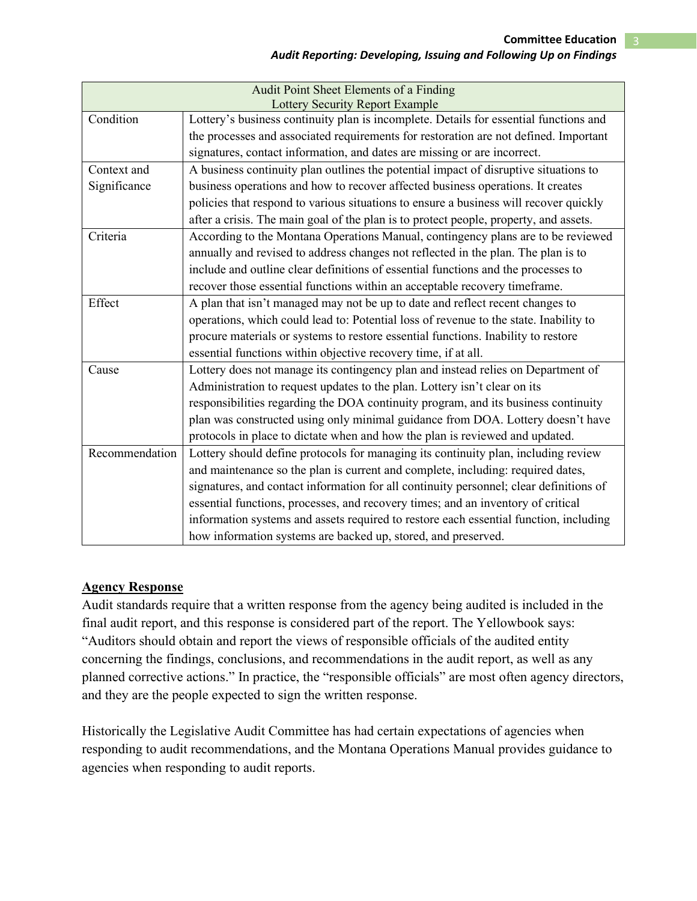| Audit Point Sheet Elements of a Finding<br><b>Lottery Security Report Example</b> |                                                                                        |  |
|-----------------------------------------------------------------------------------|----------------------------------------------------------------------------------------|--|
| Condition                                                                         | Lottery's business continuity plan is incomplete. Details for essential functions and  |  |
|                                                                                   | the processes and associated requirements for restoration are not defined. Important   |  |
|                                                                                   | signatures, contact information, and dates are missing or are incorrect.               |  |
| Context and                                                                       | A business continuity plan outlines the potential impact of disruptive situations to   |  |
| Significance                                                                      | business operations and how to recover affected business operations. It creates        |  |
|                                                                                   | policies that respond to various situations to ensure a business will recover quickly  |  |
|                                                                                   | after a crisis. The main goal of the plan is to protect people, property, and assets.  |  |
| Criteria                                                                          | According to the Montana Operations Manual, contingency plans are to be reviewed       |  |
|                                                                                   | annually and revised to address changes not reflected in the plan. The plan is to      |  |
|                                                                                   | include and outline clear definitions of essential functions and the processes to      |  |
|                                                                                   | recover those essential functions within an acceptable recovery timeframe.             |  |
| Effect                                                                            | A plan that isn't managed may not be up to date and reflect recent changes to          |  |
|                                                                                   | operations, which could lead to: Potential loss of revenue to the state. Inability to  |  |
|                                                                                   | procure materials or systems to restore essential functions. Inability to restore      |  |
|                                                                                   | essential functions within objective recovery time, if at all.                         |  |
| Cause                                                                             | Lottery does not manage its contingency plan and instead relies on Department of       |  |
|                                                                                   | Administration to request updates to the plan. Lottery isn't clear on its              |  |
|                                                                                   | responsibilities regarding the DOA continuity program, and its business continuity     |  |
|                                                                                   | plan was constructed using only minimal guidance from DOA. Lottery doesn't have        |  |
|                                                                                   | protocols in place to dictate when and how the plan is reviewed and updated.           |  |
| Recommendation                                                                    | Lottery should define protocols for managing its continuity plan, including review     |  |
|                                                                                   | and maintenance so the plan is current and complete, including: required dates,        |  |
|                                                                                   | signatures, and contact information for all continuity personnel; clear definitions of |  |
|                                                                                   | essential functions, processes, and recovery times; and an inventory of critical       |  |
|                                                                                   | information systems and assets required to restore each essential function, including  |  |
|                                                                                   | how information systems are backed up, stored, and preserved.                          |  |

# **Agency Response**

Audit standards require that a written response from the agency being audited is included in the final audit report, and this response is considered part of the report. The Yellowbook says: "Auditors should obtain and report the views of responsible officials of the audited entity concerning the findings, conclusions, and recommendations in the audit report, as well as any planned corrective actions." In practice, the "responsible officials" are most often agency directors, and they are the people expected to sign the written response.

Historically the Legislative Audit Committee has had certain expectations of agencies when responding to audit recommendations, and the Montana Operations Manual provides guidance to agencies when responding to audit reports.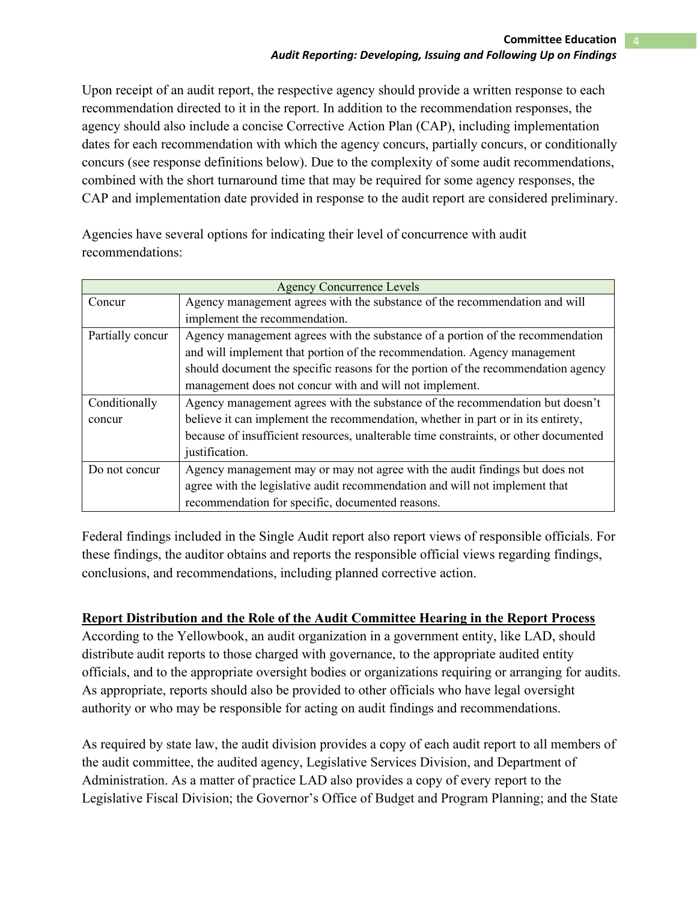Upon receipt of an audit report, the respective agency should provide a written response to each recommendation directed to it in the report. In addition to the recommendation responses, the agency should also include a concise Corrective Action Plan (CAP), including implementation dates for each recommendation with which the agency concurs, partially concurs, or conditionally concurs (see response definitions below). Due to the complexity of some audit recommendations, combined with the short turnaround time that may be required for some agency responses, the CAP and implementation date provided in response to the audit report are considered preliminary.

Agencies have several options for indicating their level of concurrence with audit recommendations:

| <b>Agency Concurrence Levels</b> |                                                                                      |  |
|----------------------------------|--------------------------------------------------------------------------------------|--|
| Concur                           | Agency management agrees with the substance of the recommendation and will           |  |
|                                  | implement the recommendation.                                                        |  |
| Partially concur                 | Agency management agrees with the substance of a portion of the recommendation       |  |
|                                  | and will implement that portion of the recommendation. Agency management             |  |
|                                  | should document the specific reasons for the portion of the recommendation agency    |  |
|                                  | management does not concur with and will not implement.                              |  |
| Conditionally                    | Agency management agrees with the substance of the recommendation but doesn't        |  |
| concur                           | believe it can implement the recommendation, whether in part or in its entirety,     |  |
|                                  | because of insufficient resources, unalterable time constraints, or other documented |  |
|                                  | justification.                                                                       |  |
| Do not concur                    | Agency management may or may not agree with the audit findings but does not          |  |
|                                  | agree with the legislative audit recommendation and will not implement that          |  |
|                                  | recommendation for specific, documented reasons.                                     |  |

Federal findings included in the Single Audit report also report views of responsible officials. For these findings, the auditor obtains and reports the responsible official views regarding findings, conclusions, and recommendations, including planned corrective action.

### **Report Distribution and the Role of the Audit Committee Hearing in the Report Process**

According to the Yellowbook, an audit organization in a government entity, like LAD, should distribute audit reports to those charged with governance, to the appropriate audited entity officials, and to the appropriate oversight bodies or organizations requiring or arranging for audits. As appropriate, reports should also be provided to other officials who have legal oversight authority or who may be responsible for acting on audit findings and recommendations.

As required by state law, the audit division provides a copy of each audit report to all members of the audit committee, the audited agency, Legislative Services Division, and Department of Administration. As a matter of practice LAD also provides a copy of every report to the Legislative Fiscal Division; the Governor's Office of Budget and Program Planning; and the State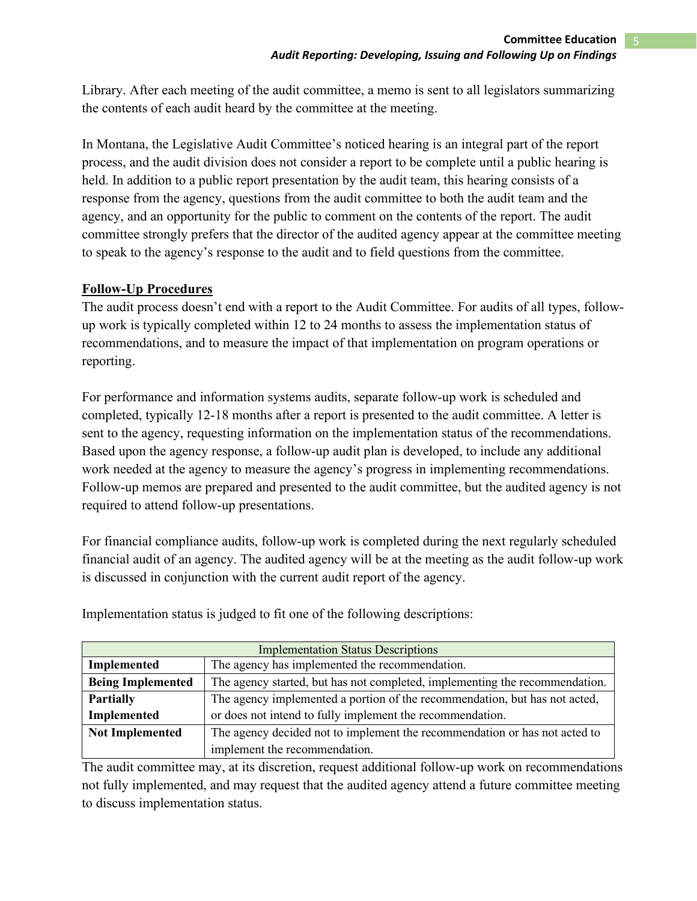Library. After each meeting of the audit committee, a memo is sent to all legislators summarizing the contents of each audit heard by the committee at the meeting.

In Montana, the Legislative Audit Committee's noticed hearing is an integral part of the report process, and the audit division does not consider a report to be complete until a public hearing is held. In addition to a public report presentation by the audit team, this hearing consists of a response from the agency, questions from the audit committee to both the audit team and the agency, and an opportunity for the public to comment on the contents of the report. The audit committee strongly prefers that the director of the audited agency appear at the committee meeting to speak to the agency's response to the audit and to field questions from the committee.

## **Follow-Up Procedures**

The audit process doesn't end with a report to the Audit Committee. For audits of all types, followup work is typically completed within 12 to 24 months to assess the implementation status of recommendations, and to measure the impact of that implementation on program operations or reporting.

For performance and information systems audits, separate follow-up work is scheduled and completed, typically 12-18 months after a report is presented to the audit committee. A letter is sent to the agency, requesting information on the implementation status of the recommendations. Based upon the agency response, a follow-up audit plan is developed, to include any additional work needed at the agency to measure the agency's progress in implementing recommendations. Follow-up memos are prepared and presented to the audit committee, but the audited agency is not required to attend follow-up presentations.

For financial compliance audits, follow-up work is completed during the next regularly scheduled financial audit of an agency. The audited agency will be at the meeting as the audit follow-up work is discussed in conjunction with the current audit report of the agency.

| <b>Implementation Status Descriptions</b> |                                                                             |  |
|-------------------------------------------|-----------------------------------------------------------------------------|--|
| Implemented                               | The agency has implemented the recommendation.                              |  |
| <b>Being Implemented</b>                  | The agency started, but has not completed, implementing the recommendation. |  |
| <b>Partially</b>                          | The agency implemented a portion of the recommendation, but has not acted,  |  |
| <b>Implemented</b>                        | or does not intend to fully implement the recommendation.                   |  |
| <b>Not Implemented</b>                    | The agency decided not to implement the recommendation or has not acted to  |  |
|                                           | implement the recommendation.                                               |  |

Implementation status is judged to fit one of the following descriptions:

The audit committee may, at its discretion, request additional follow-up work on recommendations not fully implemented, and may request that the audited agency attend a future committee meeting to discuss implementation status.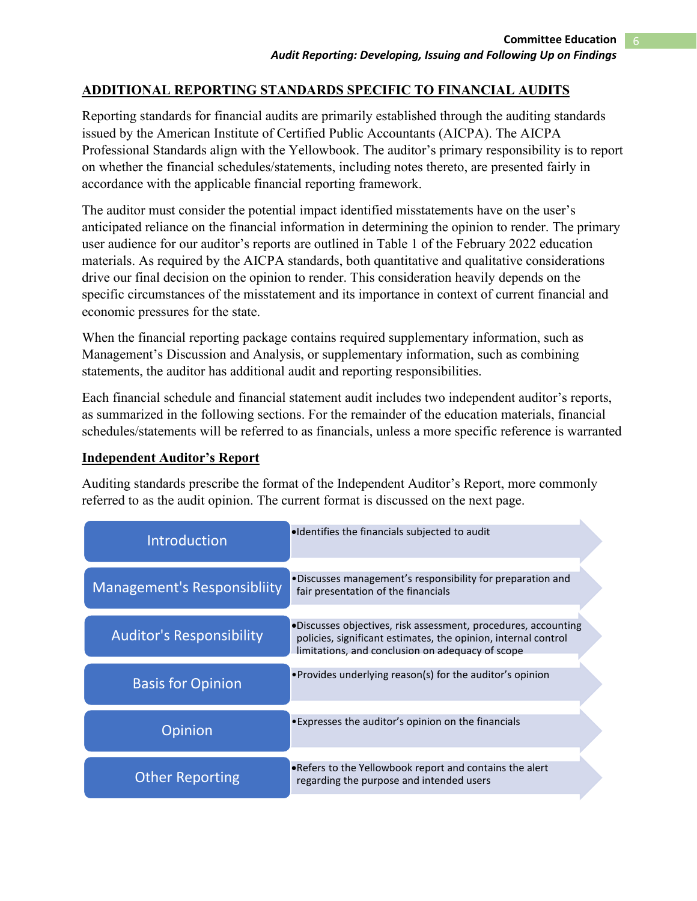### **ADDITIONAL REPORTING STANDARDS SPECIFIC TO FINANCIAL AUDITS**

Reporting standards for financial audits are primarily established through the auditing standards issued by the American Institute of Certified Public Accountants (AICPA). The AICPA Professional Standards align with the Yellowbook. The auditor's primary responsibility is to report on whether the financial schedules/statements, including notes thereto, are presented fairly in accordance with the applicable financial reporting framework.

The auditor must consider the potential impact identified misstatements have on the user's anticipated reliance on the financial information in determining the opinion to render. The primary user audience for our auditor's reports are outlined in Table 1 of the February 2022 education materials. As required by the AICPA standards, both quantitative and qualitative considerations drive our final decision on the opinion to render. This consideration heavily depends on the specific circumstances of the misstatement and its importance in context of current financial and economic pressures for the state.

When the financial reporting package contains required supplementary information, such as Management's Discussion and Analysis, or supplementary information, such as combining statements, the auditor has additional audit and reporting responsibilities.

Each financial schedule and financial statement audit includes two independent auditor's reports, as summarized in the following sections. For the remainder of the education materials, financial schedules/statements will be referred to as financials, unless a more specific reference is warranted

#### **Independent Auditor's Report**

Auditing standards prescribe the format of the Independent Auditor's Report, more commonly referred to as the audit opinion. The current format is discussed on the next page.

| Introduction                       | . Identifies the financials subjected to audit                                                                                                                                       |
|------------------------------------|--------------------------------------------------------------------------------------------------------------------------------------------------------------------------------------|
| <b>Management's Responsibliity</b> | •Discusses management's responsibility for preparation and<br>fair presentation of the financials                                                                                    |
| <b>Auditor's Responsibility</b>    | ·Discusses objectives, risk assessment, procedures, accounting<br>policies, significant estimates, the opinion, internal control<br>limitations, and conclusion on adequacy of scope |
| <b>Basis for Opinion</b>           | • Provides underlying reason(s) for the auditor's opinion                                                                                                                            |
| Opinion                            | •Expresses the auditor's opinion on the financials                                                                                                                                   |
| <b>Other Reporting</b>             | . Refers to the Yellowbook report and contains the alert<br>regarding the purpose and intended users                                                                                 |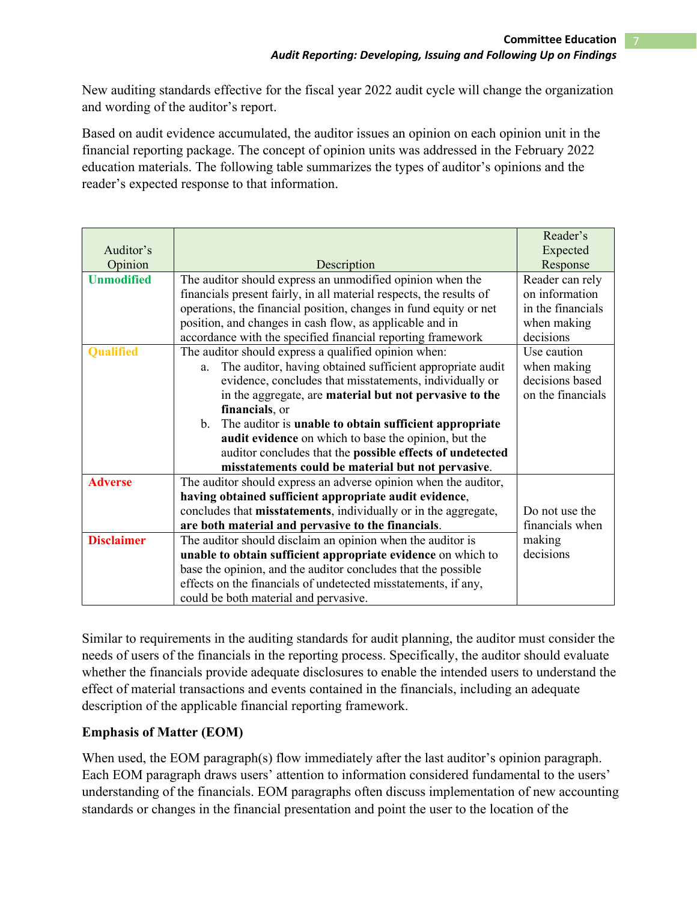New auditing standards effective for the fiscal year 2022 audit cycle will change the organization and wording of the auditor's report.

Based on audit evidence accumulated, the auditor issues an opinion on each opinion unit in the financial reporting package. The concept of opinion units was addressed in the February 2022 education materials. The following table summarizes the types of auditor's opinions and the reader's expected response to that information.

|                   |                                                                       | Reader's          |
|-------------------|-----------------------------------------------------------------------|-------------------|
| Auditor's         |                                                                       | Expected          |
| Opinion           | Description                                                           | Response          |
| <b>Unmodified</b> | The auditor should express an unmodified opinion when the             | Reader can rely   |
|                   | financials present fairly, in all material respects, the results of   | on information    |
|                   | operations, the financial position, changes in fund equity or net     | in the financials |
|                   | position, and changes in cash flow, as applicable and in              | when making       |
|                   | accordance with the specified financial reporting framework           | decisions         |
| <b>Qualified</b>  | The auditor should express a qualified opinion when:                  | Use caution       |
|                   | The auditor, having obtained sufficient appropriate audit<br>a.       | when making       |
|                   | evidence, concludes that misstatements, individually or               | decisions based   |
|                   | in the aggregate, are material but not pervasive to the               | on the financials |
|                   | financials, or                                                        |                   |
|                   | The auditor is unable to obtain sufficient appropriate<br>b.          |                   |
|                   | audit evidence on which to base the opinion, but the                  |                   |
|                   | auditor concludes that the possible effects of undetected             |                   |
|                   | misstatements could be material but not pervasive.                    |                   |
| <b>Adverse</b>    | The auditor should express an adverse opinion when the auditor,       |                   |
|                   | having obtained sufficient appropriate audit evidence,                |                   |
|                   | concludes that misstatements, individually or in the aggregate,       | Do not use the    |
|                   | financials when<br>are both material and pervasive to the financials. |                   |
| <b>Disclaimer</b> | The auditor should disclaim an opinion when the auditor is            | making            |
|                   | unable to obtain sufficient appropriate evidence on which to          | decisions         |
|                   | base the opinion, and the auditor concludes that the possible         |                   |
|                   | effects on the financials of undetected misstatements, if any,        |                   |
|                   | could be both material and pervasive.                                 |                   |

Similar to requirements in the auditing standards for audit planning, the auditor must consider the needs of users of the financials in the reporting process. Specifically, the auditor should evaluate whether the financials provide adequate disclosures to enable the intended users to understand the effect of material transactions and events contained in the financials, including an adequate description of the applicable financial reporting framework.

# **Emphasis of Matter (EOM)**

When used, the EOM paragraph(s) flow immediately after the last auditor's opinion paragraph. Each EOM paragraph draws users' attention to information considered fundamental to the users' understanding of the financials. EOM paragraphs often discuss implementation of new accounting standards or changes in the financial presentation and point the user to the location of the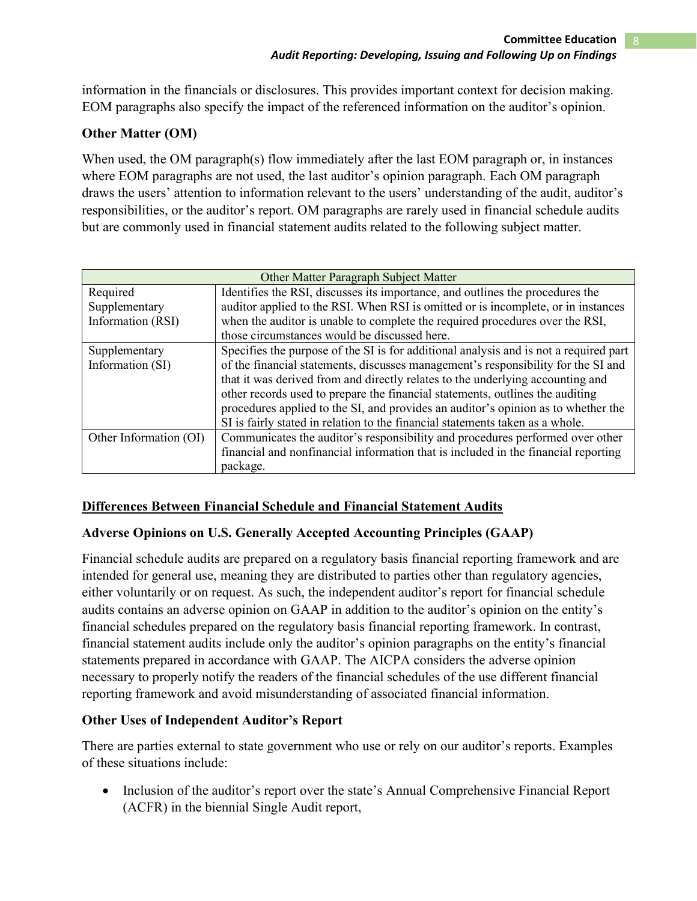information in the financials or disclosures. This provides important context for decision making. EOM paragraphs also specify the impact of the referenced information on the auditor's opinion.

## **Other Matter (OM)**

When used, the OM paragraph(s) flow immediately after the last EOM paragraph or, in instances where EOM paragraphs are not used, the last auditor's opinion paragraph. Each OM paragraph draws the users' attention to information relevant to the users' understanding of the audit, auditor's responsibilities, or the auditor's report. OM paragraphs are rarely used in financial schedule audits but are commonly used in financial statement audits related to the following subject matter.

| Other Matter Paragraph Subject Matter |                                                                                       |  |
|---------------------------------------|---------------------------------------------------------------------------------------|--|
| Required                              | Identifies the RSI, discusses its importance, and outlines the procedures the         |  |
| Supplementary                         | auditor applied to the RSI. When RSI is omitted or is incomplete, or in instances     |  |
| Information (RSI)                     | when the auditor is unable to complete the required procedures over the RSI,          |  |
|                                       | those circumstances would be discussed here.                                          |  |
| Supplementary                         | Specifies the purpose of the SI is for additional analysis and is not a required part |  |
| Information (SI)                      | of the financial statements, discusses management's responsibility for the SI and     |  |
|                                       | that it was derived from and directly relates to the underlying accounting and        |  |
|                                       | other records used to prepare the financial statements, outlines the auditing         |  |
|                                       | procedures applied to the SI, and provides an auditor's opinion as to whether the     |  |
|                                       | SI is fairly stated in relation to the financial statements taken as a whole.         |  |
| Other Information (OI)                | Communicates the auditor's responsibility and procedures performed over other         |  |
|                                       | financial and nonfinancial information that is included in the financial reporting    |  |
|                                       | package.                                                                              |  |

# **Differences Between Financial Schedule and Financial Statement Audits**

# **Adverse Opinions on U.S. Generally Accepted Accounting Principles (GAAP)**

Financial schedule audits are prepared on a regulatory basis financial reporting framework and are intended for general use, meaning they are distributed to parties other than regulatory agencies, either voluntarily or on request. As such, the independent auditor's report for financial schedule audits contains an adverse opinion on GAAP in addition to the auditor's opinion on the entity's financial schedules prepared on the regulatory basis financial reporting framework. In contrast, financial statement audits include only the auditor's opinion paragraphs on the entity's financial statements prepared in accordance with GAAP. The AICPA considers the adverse opinion necessary to properly notify the readers of the financial schedules of the use different financial reporting framework and avoid misunderstanding of associated financial information.

### **Other Uses of Independent Auditor's Report**

There are parties external to state government who use or rely on our auditor's reports. Examples of these situations include:

• Inclusion of the auditor's report over the state's Annual Comprehensive Financial Report (ACFR) in the biennial Single Audit report,